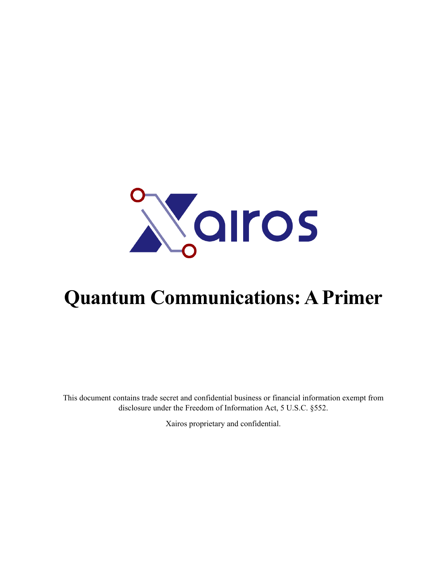

# **Quantum Communications: A Primer**

This document contains trade secret and confidential business or financial information exempt from disclosure under the Freedom of Information Act, 5 U.S.C. §552.

Xairos proprietary and confidential.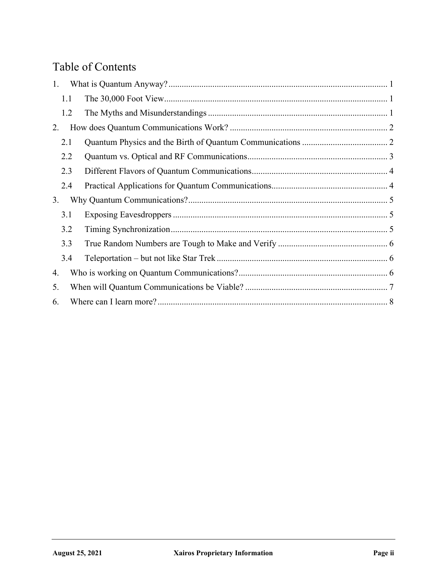## Table of Contents

| 1.  |  |  |
|-----|--|--|
| 1.1 |  |  |
| 1.2 |  |  |
| 2.  |  |  |
| 2.1 |  |  |
| 2.2 |  |  |
| 2.3 |  |  |
| 2.4 |  |  |
| 3.  |  |  |
| 3.1 |  |  |
| 3.2 |  |  |
| 3.3 |  |  |
| 3.4 |  |  |
| 4.  |  |  |
| 5.  |  |  |
| 6.  |  |  |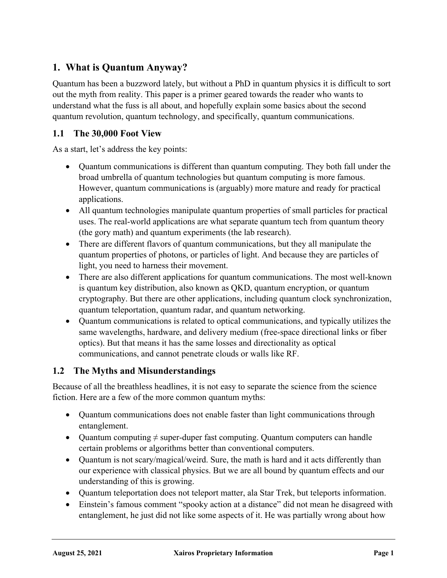## **1. What is Quantum Anyway?**

Quantum has been a buzzword lately, but without a PhD in quantum physics it is difficult to sort out the myth from reality. This paper is a primer geared towards the reader who wants to understand what the fuss is all about, and hopefully explain some basics about the second quantum revolution, quantum technology, and specifically, quantum communications.

### **1.1 The 30,000 Foot View**

As a start, let's address the key points:

- Ouantum communications is different than quantum computing. They both fall under the broad umbrella of quantum technologies but quantum computing is more famous. However, quantum communications is (arguably) more mature and ready for practical applications.
- All quantum technologies manipulate quantum properties of small particles for practical uses. The real-world applications are what separate quantum tech from quantum theory (the gory math) and quantum experiments (the lab research).
- There are different flavors of quantum communications, but they all manipulate the quantum properties of photons, or particles of light. And because they are particles of light, you need to harness their movement.
- There are also different applications for quantum communications. The most well-known is quantum key distribution, also known as QKD, quantum encryption, or quantum cryptography. But there are other applications, including quantum clock synchronization, quantum teleportation, quantum radar, and quantum networking.
- Quantum communications is related to optical communications, and typically utilizes the same wavelengths, hardware, and delivery medium (free-space directional links or fiber optics). But that means it has the same losses and directionality as optical communications, and cannot penetrate clouds or walls like RF.

#### **1.2 The Myths and Misunderstandings**

Because of all the breathless headlines, it is not easy to separate the science from the science fiction. Here are a few of the more common quantum myths:

- Quantum communications does not enable faster than light communications through entanglement.
- Quantum computing  $\neq$  super-duper fast computing. Quantum computers can handle certain problems or algorithms better than conventional computers.
- Quantum is not scary/magical/weird. Sure, the math is hard and it acts differently than our experience with classical physics. But we are all bound by quantum effects and our understanding of this is growing.
- Quantum teleportation does not teleport matter, ala Star Trek, but teleports information.
- Einstein's famous comment "spooky action at a distance" did not mean he disagreed with entanglement, he just did not like some aspects of it. He was partially wrong about how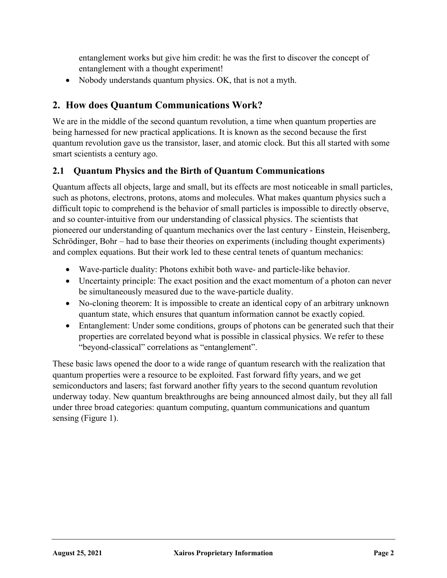entanglement works but give him credit: he was the first to discover the concept of entanglement with a thought experiment!

• Nobody understands quantum physics. OK, that is not a myth.

## **2. How does Quantum Communications Work?**

We are in the middle of the second quantum revolution, a time when quantum properties are being harnessed for new practical applications. It is known as the second because the first quantum revolution gave us the transistor, laser, and atomic clock. But this all started with some smart scientists a century ago.

#### **2.1 Quantum Physics and the Birth of Quantum Communications**

Quantum affects all objects, large and small, but its effects are most noticeable in small particles, such as photons, electrons, protons, atoms and molecules. What makes quantum physics such a difficult topic to comprehend is the behavior of small particles is impossible to directly observe, and so counter-intuitive from our understanding of classical physics. The scientists that pioneered our understanding of quantum mechanics over the last century - Einstein, Heisenberg, Schrödinger, Bohr – had to base their theories on experiments (including thought experiments) and complex equations. But their work led to these central tenets of quantum mechanics:

- Wave-particle duality: Photons exhibit both wave- and particle-like behavior.
- Uncertainty principle: The exact position and the exact momentum of a photon can never be simultaneously measured due to the wave-particle duality.
- No-cloning theorem: It is impossible to create an identical copy of an arbitrary unknown quantum state, which ensures that quantum information cannot be exactly copied.
- Entanglement: Under some conditions, groups of photons can be generated such that their properties are correlated beyond what is possible in classical physics. We refer to these "beyond-classical" correlations as "entanglement".

These basic laws opened the door to a wide range of quantum research with the realization that quantum properties were a resource to be exploited. Fast forward fifty years, and we get semiconductors and lasers; fast forward another fifty years to the second quantum revolution underway today. New quantum breakthroughs are being announced almost daily, but they all fall under three broad categories: quantum computing, quantum communications and quantum sensing (Figure 1).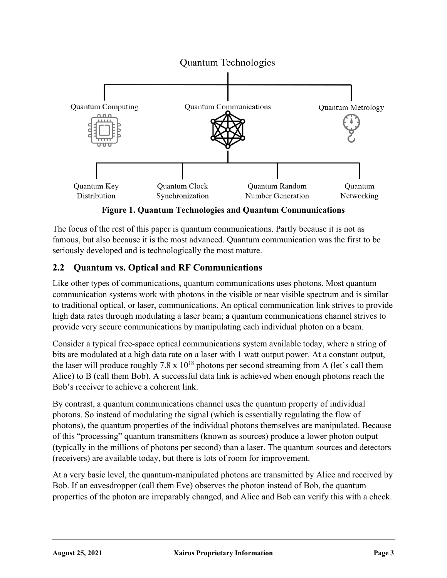

**Figure 1. Quantum Technologies and Quantum Communications**

The focus of the rest of this paper is quantum communications. Partly because it is not as famous, but also because it is the most advanced. Quantum communication was the first to be seriously developed and is technologically the most mature.

## **2.2 Quantum vs. Optical and RF Communications**

Like other types of communications, quantum communications uses photons. Most quantum communication systems work with photons in the visible or near visible spectrum and is similar to traditional optical, or laser, communications. An optical communication link strives to provide high data rates through modulating a laser beam; a quantum communications channel strives to provide very secure communications by manipulating each individual photon on a beam.

Consider a typical free-space optical communications system available today, where a string of bits are modulated at a high data rate on a laser with 1 watt output power. At a constant output, the laser will produce roughly 7.8 x  $10^{18}$  photons per second streaming from A (let's call them Alice) to B (call them Bob). A successful data link is achieved when enough photons reach the Bob's receiver to achieve a coherent link.

By contrast, a quantum communications channel uses the quantum property of individual photons. So instead of modulating the signal (which is essentially regulating the flow of photons), the quantum properties of the individual photons themselves are manipulated. Because of this "processing" quantum transmitters (known as sources) produce a lower photon output (typically in the millions of photons per second) than a laser. The quantum sources and detectors (receivers) are available today, but there is lots of room for improvement.

At a very basic level, the quantum-manipulated photons are transmitted by Alice and received by Bob. If an eavesdropper (call them Eve) observes the photon instead of Bob, the quantum properties of the photon are irreparably changed, and Alice and Bob can verify this with a check.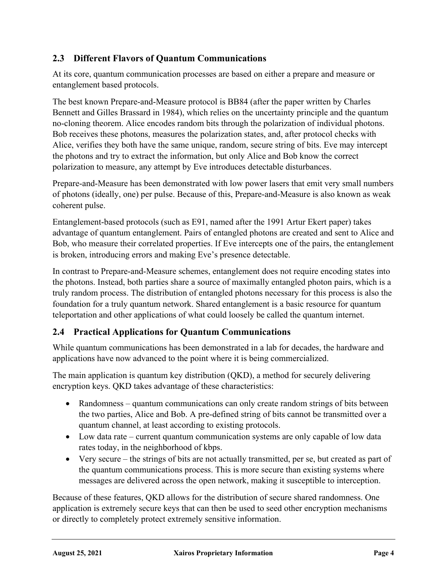## **2.3 Different Flavors of Quantum Communications**

At its core, quantum communication processes are based on either a prepare and measure or entanglement based protocols.

The best known Prepare-and-Measure protocol is BB84 (after the paper written by Charles Bennett and Gilles Brassard in 1984), which relies on the uncertainty principle and the quantum no-cloning theorem. Alice encodes random bits through the polarization of individual photons. Bob receives these photons, measures the polarization states, and, after protocol checks with Alice, verifies they both have the same unique, random, secure string of bits. Eve may intercept the photons and try to extract the information, but only Alice and Bob know the correct polarization to measure, any attempt by Eve introduces detectable disturbances.

Prepare-and-Measure has been demonstrated with low power lasers that emit very small numbers of photons (ideally, one) per pulse. Because of this, Prepare-and-Measure is also known as weak coherent pulse.

Entanglement-based protocols (such as E91, named after the 1991 Artur Ekert paper) takes advantage of quantum entanglement. Pairs of entangled photons are created and sent to Alice and Bob, who measure their correlated properties. If Eve intercepts one of the pairs, the entanglement is broken, introducing errors and making Eve's presence detectable.

In contrast to Prepare-and-Measure schemes, entanglement does not require encoding states into the photons. Instead, both parties share a source of maximally entangled photon pairs, which is a truly random process. The distribution of entangled photons necessary for this process is also the foundation for a truly quantum network. Shared entanglement is a basic resource for quantum teleportation and other applications of what could loosely be called the quantum internet.

## **2.4 Practical Applications for Quantum Communications**

While quantum communications has been demonstrated in a lab for decades, the hardware and applications have now advanced to the point where it is being commercialized.

The main application is quantum key distribution (QKD), a method for securely delivering encryption keys. QKD takes advantage of these characteristics:

- Randomness quantum communications can only create random strings of bits between the two parties, Alice and Bob. A pre-defined string of bits cannot be transmitted over a quantum channel, at least according to existing protocols.
- Low data rate current quantum communication systems are only capable of low data rates today, in the neighborhood of kbps.
- Very secure the strings of bits are not actually transmitted, per se, but created as part of the quantum communications process. This is more secure than existing systems where messages are delivered across the open network, making it susceptible to interception.

Because of these features, QKD allows for the distribution of secure shared randomness. One application is extremely secure keys that can then be used to seed other encryption mechanisms or directly to completely protect extremely sensitive information.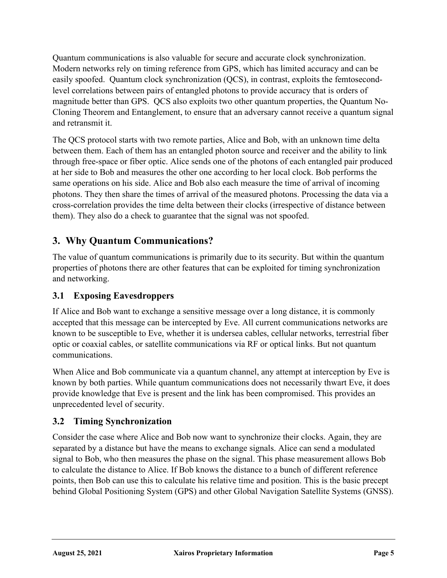Quantum communications is also valuable for secure and accurate clock synchronization. Modern networks rely on timing reference from GPS, which has limited accuracy and can be easily spoofed. Quantum clock synchronization (QCS), in contrast, exploits the femtosecondlevel correlations between pairs of entangled photons to provide accuracy that is orders of magnitude better than GPS. QCS also exploits two other quantum properties, the Quantum No-Cloning Theorem and Entanglement, to ensure that an adversary cannot receive a quantum signal and retransmit it.

The QCS protocol starts with two remote parties, Alice and Bob, with an unknown time delta between them. Each of them has an entangled photon source and receiver and the ability to link through free-space or fiber optic. Alice sends one of the photons of each entangled pair produced at her side to Bob and measures the other one according to her local clock. Bob performs the same operations on his side. Alice and Bob also each measure the time of arrival of incoming photons. They then share the times of arrival of the measured photons. Processing the data via a cross-correlation provides the time delta between their clocks (irrespective of distance between them). They also do a check to guarantee that the signal was not spoofed.

## **3. Why Quantum Communications?**

The value of quantum communications is primarily due to its security. But within the quantum properties of photons there are other features that can be exploited for timing synchronization and networking.

## **3.1 Exposing Eavesdroppers**

If Alice and Bob want to exchange a sensitive message over a long distance, it is commonly accepted that this message can be intercepted by Eve. All current communications networks are known to be susceptible to Eve, whether it is undersea cables, cellular networks, terrestrial fiber optic or coaxial cables, or satellite communications via RF or optical links. But not quantum communications.

When Alice and Bob communicate via a quantum channel, any attempt at interception by Eve is known by both parties. While quantum communications does not necessarily thwart Eve, it does provide knowledge that Eve is present and the link has been compromised. This provides an unprecedented level of security.

## **3.2 Timing Synchronization**

Consider the case where Alice and Bob now want to synchronize their clocks. Again, they are separated by a distance but have the means to exchange signals. Alice can send a modulated signal to Bob, who then measures the phase on the signal. This phase measurement allows Bob to calculate the distance to Alice. If Bob knows the distance to a bunch of different reference points, then Bob can use this to calculate his relative time and position. This is the basic precept behind Global Positioning System (GPS) and other Global Navigation Satellite Systems (GNSS).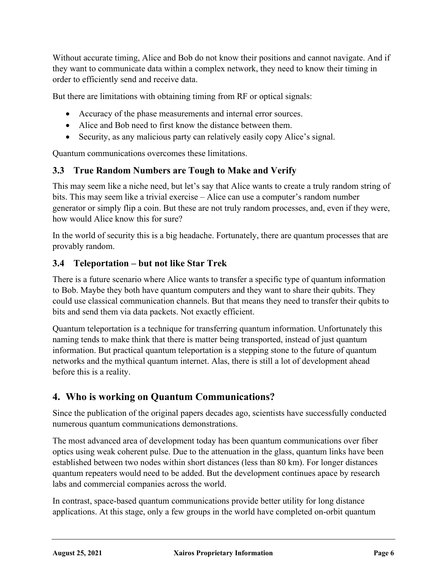Without accurate timing, Alice and Bob do not know their positions and cannot navigate. And if they want to communicate data within a complex network, they need to know their timing in order to efficiently send and receive data.

But there are limitations with obtaining timing from RF or optical signals:

- Accuracy of the phase measurements and internal error sources.
- Alice and Bob need to first know the distance between them.
- Security, as any malicious party can relatively easily copy Alice's signal.

Quantum communications overcomes these limitations.

#### **3.3 True Random Numbers are Tough to Make and Verify**

This may seem like a niche need, but let's say that Alice wants to create a truly random string of bits. This may seem like a trivial exercise – Alice can use a computer's random number generator or simply flip a coin. But these are not truly random processes, and, even if they were, how would Alice know this for sure?

In the world of security this is a big headache. Fortunately, there are quantum processes that are provably random.

#### **3.4 Teleportation – but not like Star Trek**

There is a future scenario where Alice wants to transfer a specific type of quantum information to Bob. Maybe they both have quantum computers and they want to share their qubits. They could use classical communication channels. But that means they need to transfer their qubits to bits and send them via data packets. Not exactly efficient.

Quantum teleportation is a technique for transferring quantum information. Unfortunately this naming tends to make think that there is matter being transported, instead of just quantum information. But practical quantum teleportation is a stepping stone to the future of quantum networks and the mythical quantum internet. Alas, there is still a lot of development ahead before this is a reality.

## **4. Who is working on Quantum Communications?**

Since the publication of the original papers decades ago, scientists have successfully conducted numerous quantum communications demonstrations.

The most advanced area of development today has been quantum communications over fiber optics using weak coherent pulse. Due to the attenuation in the glass, quantum links have been established between two nodes within short distances (less than 80 km). For longer distances quantum repeaters would need to be added. But the development continues apace by research labs and commercial companies across the world.

In contrast, space-based quantum communications provide better utility for long distance applications. At this stage, only a few groups in the world have completed on-orbit quantum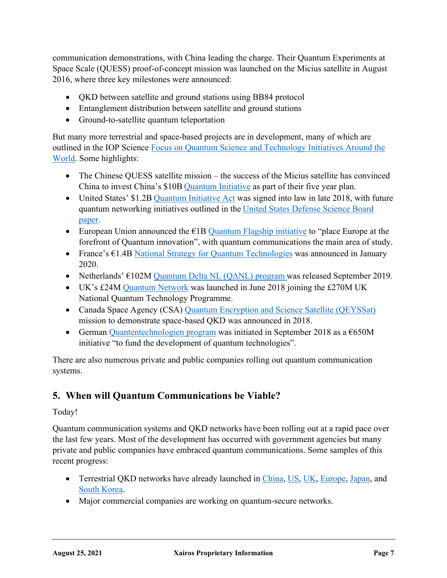communication demonstrations, with China leading the charge. Their Quantum Experiments at Space Scale (QUESS) proof-of-concept mission was launched on the Micius satellite in August 2016, where three key milestones were announced:

- QKD between satellite and ground stations using BB84 protocol
- Entanglement distribution between satellite and ground stations
- Ground-to-satellite quantum teleportation

But many more terrestrial and space-based projects are in development, many of which are outlined in the IOP Science Focus on Quantum Science and Technology Initiatives Around the World. Some highlights:

- The Chinese QUESS satellite mission the success of the Micius satellite has convinced China to invest China's \$10B Quantum Initiative as part of their five year plan.
- United States' \$1.2B Quantum Initiative Act was signed into law in late 2018, with future quantum networking initiatives outlined in the United States Defense Science Board paper.
- European Union announced the  $EIB$  Quantum Flagship initiative to "place Europe at the forefront of Quantum innovation", with quantum communications the main area of study.
- France's  $E1.4B$  National Strategy for Quantum Technologies was announced in January 2020.
- Netherlands'  $\epsilon$ 102M Quantum Delta NL (Q $\Delta$ NL) program was released September 2019.
- UK's £24M Quantum Network was launched in June 2018 joining the £270M UK National Quantum Technology Programme.
- Canada Space Agency (CSA) Quantum Encryption and Science Satellite (QEYSSat) mission to demonstrate space-based QKD was announced in 2018.
- German Quantentechnologien program was initiated in September 2018 as a  $\epsilon$ 650M initiative "to fund the development of quantum technologies".

There are also numerous private and public companies rolling out quantum communication systems.

## **5. When will Quantum Communications be Viable?**

#### Today!

Quantum communication systems and QKD networks have been rolling out at a rapid pace over the last few years. Most of the development has occurred with government agencies but many private and public companies have embraced quantum communications. Some samples of this recent progress:

- Terrestrial OKD networks have already launched in China, US, UK, Europe, Japan, and South Korea.
- Major commercial companies are working on quantum-secure networks.